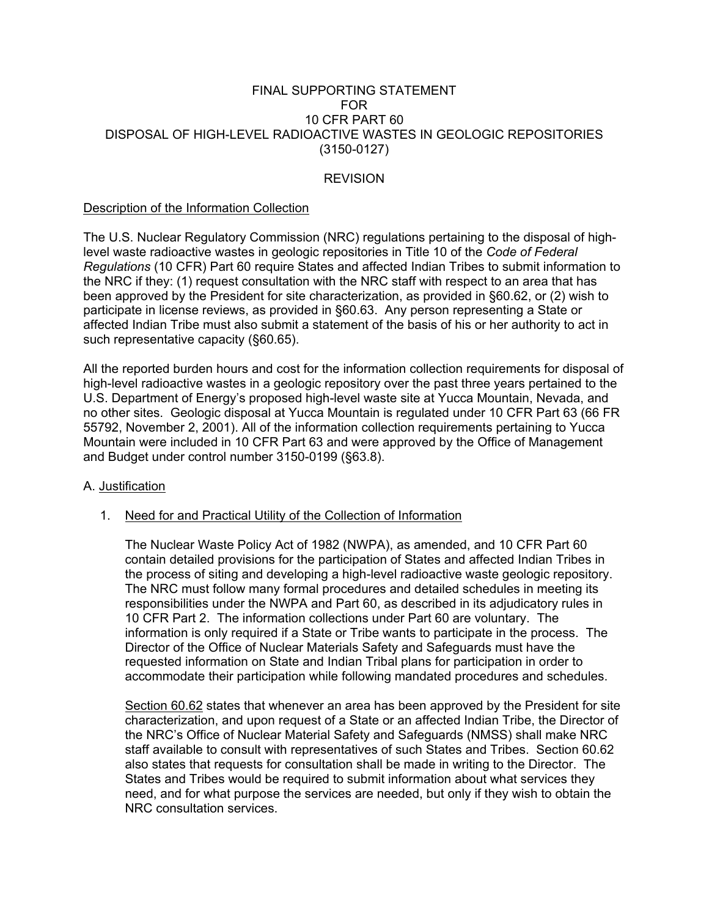### FINAL SUPPORTING STATEMENT FOR 10 CFR PART 60 DISPOSAL OF HIGH-LEVEL RADIOACTIVE WASTES IN GEOLOGIC REPOSITORIES (3150-0127)

# **REVISION**

#### Description of the Information Collection

The U.S. Nuclear Regulatory Commission (NRC) regulations pertaining to the disposal of highlevel waste radioactive wastes in geologic repositories in Title 10 of the *Code of Federal Regulations* (10 CFR) Part 60 require States and affected Indian Tribes to submit information to the NRC if they: (1) request consultation with the NRC staff with respect to an area that has been approved by the President for site characterization, as provided in §60.62, or (2) wish to participate in license reviews, as provided in §60.63. Any person representing a State or affected Indian Tribe must also submit a statement of the basis of his or her authority to act in such representative capacity (§60.65).

All the reported burden hours and cost for the information collection requirements for disposal of high-level radioactive wastes in a geologic repository over the past three years pertained to the U.S. Department of Energy's proposed high-level waste site at Yucca Mountain, Nevada, and no other sites. Geologic disposal at Yucca Mountain is regulated under 10 CFR Part 63 (66 FR 55792, November 2, 2001). All of the information collection requirements pertaining to Yucca Mountain were included in 10 CFR Part 63 and were approved by the Office of Management and Budget under control number 3150-0199 (§63.8).

### A. Justification

### 1. Need for and Practical Utility of the Collection of Information

 The Nuclear Waste Policy Act of 1982 (NWPA), as amended, and 10 CFR Part 60 contain detailed provisions for the participation of States and affected Indian Tribes in the process of siting and developing a high-level radioactive waste geologic repository. The NRC must follow many formal procedures and detailed schedules in meeting its responsibilities under the NWPA and Part 60, as described in its adjudicatory rules in 10 CFR Part 2. The information collections under Part 60 are voluntary. The information is only required if a State or Tribe wants to participate in the process. The Director of the Office of Nuclear Materials Safety and Safeguards must have the requested information on State and Indian Tribal plans for participation in order to accommodate their participation while following mandated procedures and schedules.

 Section 60.62 states that whenever an area has been approved by the President for site characterization, and upon request of a State or an affected Indian Tribe, the Director of the NRC's Office of Nuclear Material Safety and Safeguards (NMSS) shall make NRC staff available to consult with representatives of such States and Tribes. Section 60.62 also states that requests for consultation shall be made in writing to the Director. The States and Tribes would be required to submit information about what services they need, and for what purpose the services are needed, but only if they wish to obtain the NRC consultation services.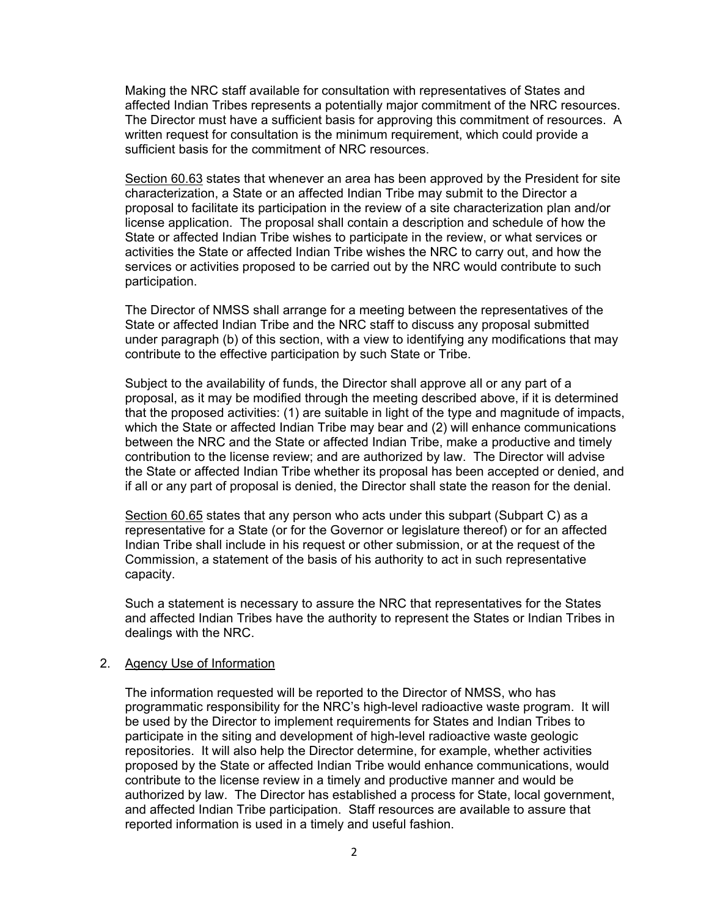Making the NRC staff available for consultation with representatives of States and affected Indian Tribes represents a potentially major commitment of the NRC resources. The Director must have a sufficient basis for approving this commitment of resources. A written request for consultation is the minimum requirement, which could provide a sufficient basis for the commitment of NRC resources.

 Section 60.63 states that whenever an area has been approved by the President for site characterization, a State or an affected Indian Tribe may submit to the Director a proposal to facilitate its participation in the review of a site characterization plan and/or license application. The proposal shall contain a description and schedule of how the State or affected Indian Tribe wishes to participate in the review, or what services or activities the State or affected Indian Tribe wishes the NRC to carry out, and how the services or activities proposed to be carried out by the NRC would contribute to such participation.

 The Director of NMSS shall arrange for a meeting between the representatives of the State or affected Indian Tribe and the NRC staff to discuss any proposal submitted under paragraph (b) of this section, with a view to identifying any modifications that may contribute to the effective participation by such State or Tribe.

 Subject to the availability of funds, the Director shall approve all or any part of a proposal, as it may be modified through the meeting described above, if it is determined that the proposed activities: (1) are suitable in light of the type and magnitude of impacts, which the State or affected Indian Tribe may bear and (2) will enhance communications between the NRC and the State or affected Indian Tribe, make a productive and timely contribution to the license review; and are authorized by law. The Director will advise the State or affected Indian Tribe whether its proposal has been accepted or denied, and if all or any part of proposal is denied, the Director shall state the reason for the denial.

 Section 60.65 states that any person who acts under this subpart (Subpart C) as a representative for a State (or for the Governor or legislature thereof) or for an affected Indian Tribe shall include in his request or other submission, or at the request of the Commission, a statement of the basis of his authority to act in such representative capacity.

 Such a statement is necessary to assure the NRC that representatives for the States and affected Indian Tribes have the authority to represent the States or Indian Tribes in dealings with the NRC.

#### 2. Agency Use of Information

 The information requested will be reported to the Director of NMSS, who has programmatic responsibility for the NRC's high-level radioactive waste program. It will be used by the Director to implement requirements for States and Indian Tribes to participate in the siting and development of high-level radioactive waste geologic repositories. It will also help the Director determine, for example, whether activities proposed by the State or affected Indian Tribe would enhance communications, would contribute to the license review in a timely and productive manner and would be authorized by law. The Director has established a process for State, local government, and affected Indian Tribe participation. Staff resources are available to assure that reported information is used in a timely and useful fashion.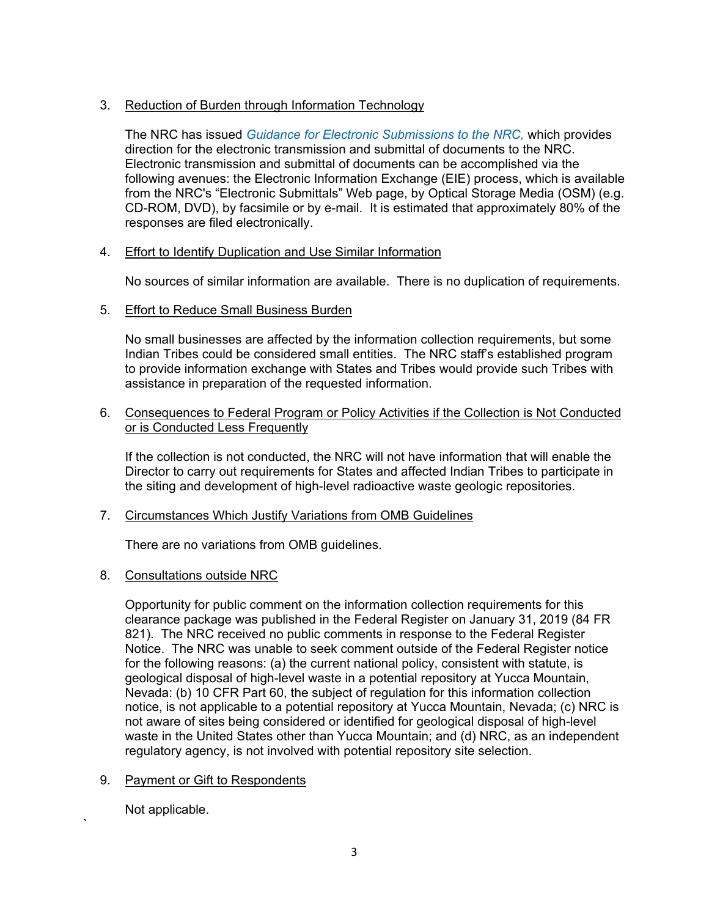# 3. Reduction of Burden through Information Technology

 The NRC has issued *Guidance for Electronic Submissions to the NRC,* which provides direction for the electronic transmission and submittal of documents to the NRC. Electronic transmission and submittal of documents can be accomplished via the following avenues: the Electronic Information Exchange (EIE) process, which is available from the NRC's "Electronic Submittals" Web page, by Optical Storage Media (OSM) (e.g. CD-ROM, DVD), by facsimile or by e-mail. It is estimated that approximately 80% of the responses are filed electronically.

# 4. Effort to Identify Duplication and Use Similar Information

No sources of similar information are available. There is no duplication of requirements.

## 5. Effort to Reduce Small Business Burden

 No small businesses are affected by the information collection requirements, but some Indian Tribes could be considered small entities. The NRC staff's established program to provide information exchange with States and Tribes would provide such Tribes with assistance in preparation of the requested information.

### 6. Consequences to Federal Program or Policy Activities if the Collection is Not Conducted or is Conducted Less Frequently

 If the collection is not conducted, the NRC will not have information that will enable the Director to carry out requirements for States and affected Indian Tribes to participate in the siting and development of high-level radioactive waste geologic repositories.

### 7. Circumstances Which Justify Variations from OMB Guidelines

There are no variations from OMB guidelines.

### 8. Consultations outside NRC

 Opportunity for public comment on the information collection requirements for this clearance package was published in the Federal Register on January 31, 2019 (84 FR 821). The NRC received no public comments in response to the Federal Register Notice. The NRC was unable to seek comment outside of the Federal Register notice for the following reasons: (a) the current national policy, consistent with statute, is geological disposal of high-level waste in a potential repository at Yucca Mountain, Nevada: (b) 10 CFR Part 60, the subject of regulation for this information collection notice, is not applicable to a potential repository at Yucca Mountain, Nevada; (c) NRC is not aware of sites being considered or identified for geological disposal of high-level waste in the United States other than Yucca Mountain; and (d) NRC, as an independent regulatory agency, is not involved with potential repository site selection.

# 9. Payment or Gift to Respondents

Not applicable.

`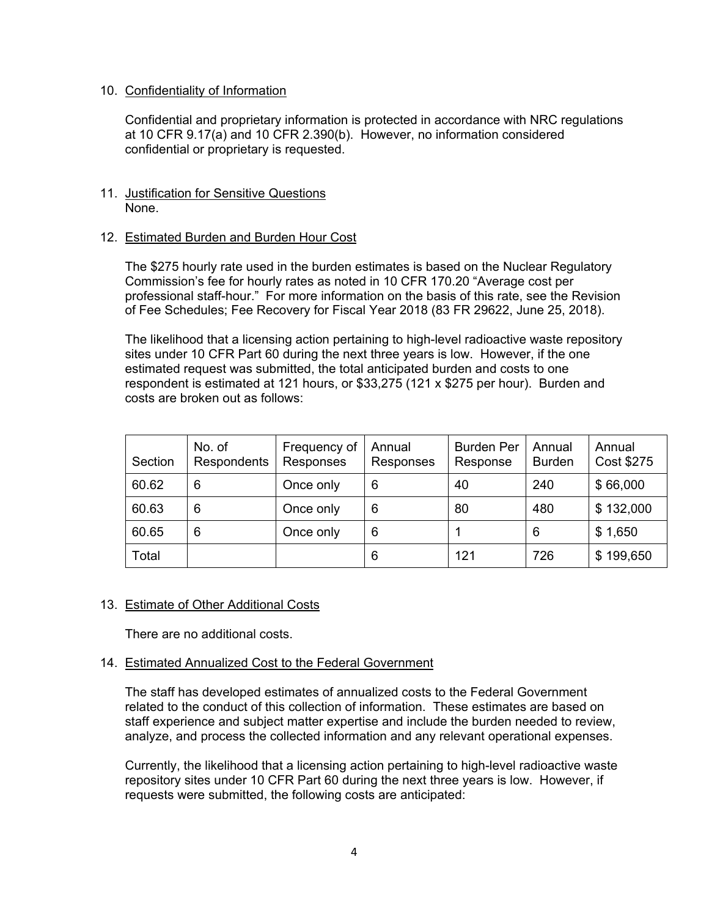### 10. Confidentiality of Information

 Confidential and proprietary information is protected in accordance with NRC regulations at 10 CFR 9.17(a) and 10 CFR 2.390(b). However, no information considered confidential or proprietary is requested.

## 11. Justification for Sensitive Questions None.

## 12. Estimated Burden and Burden Hour Cost

 The \$275 hourly rate used in the burden estimates is based on the Nuclear Regulatory Commission's fee for hourly rates as noted in 10 CFR 170.20 "Average cost per professional staff-hour." For more information on the basis of this rate, see the Revision of Fee Schedules; Fee Recovery for Fiscal Year 2018 (83 FR 29622, June 25, 2018).

 The likelihood that a licensing action pertaining to high-level radioactive waste repository sites under 10 CFR Part 60 during the next three years is low. However, if the one estimated request was submitted, the total anticipated burden and costs to one respondent is estimated at 121 hours, or \$33,275 (121 x \$275 per hour). Burden and costs are broken out as follows:

| Section | No. of<br>Respondents | Frequency of<br>Responses | Annual<br>Responses | <b>Burden Per</b><br>Response | Annual<br><b>Burden</b> | Annual<br>Cost \$275 |
|---------|-----------------------|---------------------------|---------------------|-------------------------------|-------------------------|----------------------|
| 60.62   | 6                     | Once only                 | 6                   | 40                            | 240                     | \$66,000             |
| 60.63   | 6                     | Once only                 | 6                   | 80                            | 480                     | \$132,000            |
| 60.65   | 6                     | Once only                 | 6                   |                               | 6                       | \$1,650              |
| Total   |                       |                           | 6                   | 121                           | 726                     | \$199,650            |

### 13. Estimate of Other Additional Costs

There are no additional costs.

### 14. Estimated Annualized Cost to the Federal Government

 The staff has developed estimates of annualized costs to the Federal Government related to the conduct of this collection of information. These estimates are based on staff experience and subject matter expertise and include the burden needed to review, analyze, and process the collected information and any relevant operational expenses.

 Currently, the likelihood that a licensing action pertaining to high-level radioactive waste repository sites under 10 CFR Part 60 during the next three years is low. However, if requests were submitted, the following costs are anticipated: